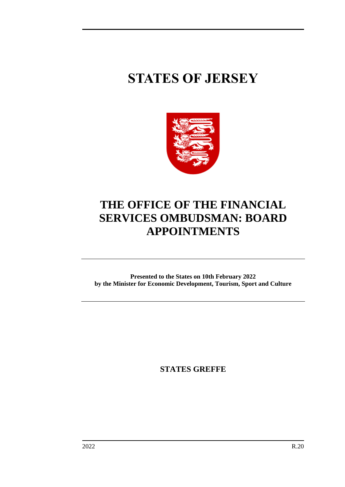# **STATES OF JERSEY**



## **THE OFFICE OF THE FINANCIAL SERVICES OMBUDSMAN: BOARD APPOINTMENTS**

**Presented to the States on 10th February 2022 by the Minister for Economic Development, Tourism, Sport and Culture**

**STATES GREFFE**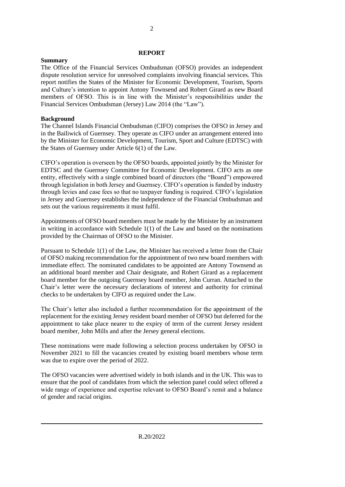#### **REPORT**

#### **Summary**

The Office of the Financial Services Ombudsman (OFSO) provides an independent dispute resolution service for unresolved complaints involving financial services. This report notifies the States of the Minister for Economic Development, Tourism, Sports and Culture's intention to appoint Antony Townsend and Robert Girard as new Board members of OFSO. This is in line with the Minister's responsibilities under the Financial Services Ombudsman (Jersey) Law 2014 (the "Law").

#### **Background**

The Channel Islands Financial Ombudsman (CIFO) comprises the OFSO in Jersey and in the Bailiwick of Guernsey. They operate as CIFO under an arrangement entered into by the Minister for Economic Development, Tourism, Sport and Culture (EDTSC) with the States of Guernsey under Article 6(1) of the Law.

CIFO's operation is overseen by the OFSO boards, appointed jointly by the Minister for EDTSC and the Guernsey Committee for Economic Development. CIFO acts as one entity, effectively with a single combined board of directors (the "Board") empowered through legislation in both Jersey and Guernsey. CIFO's operation is funded by industry through levies and case fees so that no taxpayer funding is required. CIFO's legislation in Jersey and Guernsey establishes the independence of the Financial Ombudsman and sets out the various requirements it must fulfil.

Appointments of OFSO board members must be made by the Minister by an instrument in writing in accordance with Schedule 1(1) of the Law and based on the nominations provided by the Chairman of OFSO to the Minister.

Pursuant to Schedule 1(1) of the Law, the Minister has received a letter from the Chair of OFSO making recommendation for the appointment of two new board members with immediate effect. The nominated candidates to be appointed are Antony Townsend as an additional board member and Chair designate, and Robert Girard as a replacement board member for the outgoing Guernsey board member, John Curran. Attached to the Chair's letter were the necessary declarations of interest and authority for criminal checks to be undertaken by CIFO as required under the Law.

The Chair's letter also included a further recommendation for the appointment of the replacement for the existing Jersey resident board member of OFSO but deferred for the appointment to take place nearer to the expiry of term of the current Jersey resident board member, John Mills and after the Jersey general elections.

These nominations were made following a selection process undertaken by OFSO in November 2021 to fill the vacancies created by existing board members whose term was due to expire over the period of 2022.

The OFSO vacancies were advertised widely in both islands and in the UK. This was to ensure that the pool of candidates from which the selection panel could select offered a wide range of experience and expertise relevant to OFSO Board's remit and a balance of gender and racial origins.